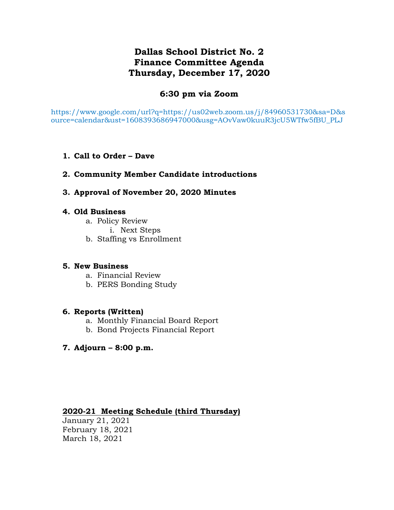# **Dallas School District No. 2 Finance Committee Agenda Thursday, December 17, 2020**

## **6:30 pm via Zoom**

https://www.google.com/url?q=https://us02web.zoom.us/j/84960531730&sa=D&s ource=calendar&ust=1608393686947000&usg=AOvVaw0kuuR3jcU5WTfw5fBU\_PLJ

**1. Call to Order – Dave**

## **2. Community Member Candidate introductions**

**3. Approval of November 20, 2020 Minutes**

## **4. Old Business**

- a. Policy Review
	- i. Next Steps
- b. Staffing vs Enrollment

## **5. New Business**

- a. Financial Review
- b. PERS Bonding Study

## **6. Reports (Written)**

- a. Monthly Financial Board Report
- b. Bond Projects Financial Report

## **7. Adjourn – 8:00 p.m.**

## **2020-21 Meeting Schedule (third Thursday)**

January 21, 2021 February 18, 2021 March 18, 2021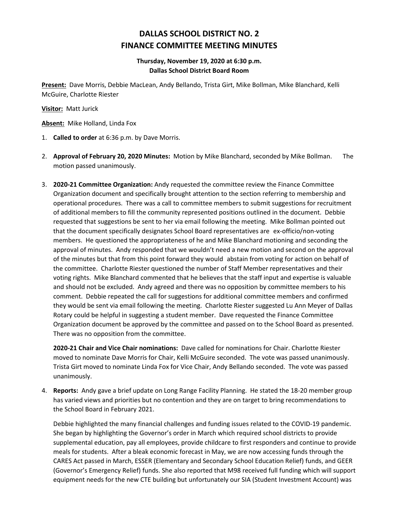# **DALLAS SCHOOL DISTRICT NO. 2 FINANCE COMMITTEE MEETING MINUTES**

### **Thursday, November 19, 2020 at 6:30 p.m. Dallas School District Board Room**

**Present:** Dave Morris, Debbie MacLean, Andy Bellando, Trista Girt, Mike Bollman, Mike Blanchard, Kelli McGuire, Charlotte Riester

**Visitor:** Matt Jurick

**Absent:** Mike Holland, Linda Fox

- 1. **Called to order** at 6:36 p.m. by Dave Morris.
- 2. **Approval of February 20, 2020 Minutes:** Motion by Mike Blanchard, seconded by Mike Bollman. The motion passed unanimously.
- 3. **2020-21 Committee Organization:** Andy requested the committee review the Finance Committee Organization document and specifically brought attention to the section referring to membership and operational procedures. There was a call to committee members to submit suggestions for recruitment of additional members to fill the community represented positions outlined in the document. Debbie requested that suggestions be sent to her via email following the meeting. Mike Bollman pointed out that the document specifically designates School Board representatives are ex-officio/non-voting members. He questioned the appropriateness of he and Mike Blanchard motioning and seconding the approval of minutes. Andy responded that we wouldn't need a new motion and second on the approval of the minutes but that from this point forward they would abstain from voting for action on behalf of the committee. Charlotte Riester questioned the number of Staff Member representatives and their voting rights. Mike Blanchard commented that he believes that the staff input and expertise is valuable and should not be excluded. Andy agreed and there was no opposition by committee members to his comment. Debbie repeated the call for suggestions for additional committee members and confirmed they would be sent via email following the meeting. Charlotte Riester suggested Lu Ann Meyer of Dallas Rotary could be helpful in suggesting a student member. Dave requested the Finance Committee Organization document be approved by the committee and passed on to the School Board as presented. There was no opposition from the committee.

**2020-21 Chair and Vice Chair nominations:** Dave called for nominations for Chair. Charlotte Riester moved to nominate Dave Morris for Chair, Kelli McGuire seconded. The vote was passed unanimously. Trista Girt moved to nominate Linda Fox for Vice Chair, Andy Bellando seconded. The vote was passed unanimously.

4. **Reports:** Andy gave a brief update on Long Range Facility Planning. He stated the 18-20 member group has varied views and priorities but no contention and they are on target to bring recommendations to the School Board in February 2021.

Debbie highlighted the many financial challenges and funding issues related to the COVID-19 pandemic. She began by highlighting the Governor's order in March which required school districts to provide supplemental education, pay all employees, provide childcare to first responders and continue to provide meals for students. After a bleak economic forecast in May, we are now accessing funds through the CARES Act passed in March, ESSER (Elementary and Secondary School Education Relief) funds, and GEER (Governor's Emergency Relief) funds. She also reported that M98 received full funding which will support equipment needs for the new CTE building but unfortunately our SIA (Student Investment Account) was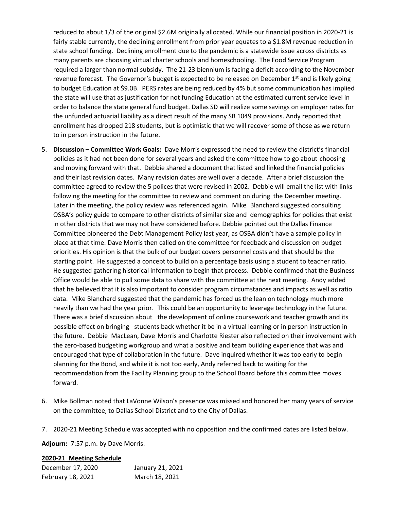reduced to about 1/3 of the original \$2.6M originally allocated. While our financial position in 2020-21 is fairly stable currently, the declining enrollment from prior year equates to a \$1.8M revenue reduction in state school funding. Declining enrollment due to the pandemic is a statewide issue across districts as many parents are choosing virtual charter schools and homeschooling. The Food Service Program required a larger than normal subsidy. The 21-23 biennium is facing a deficit according to the November revenue forecast. The Governor's budget is expected to be released on December  $1<sup>st</sup>$  and is likely going to budget Education at \$9.0B. PERS rates are being reduced by 4% but some communication has implied the state will use that as justification for not funding Education at the estimated current service level in order to balance the state general fund budget. Dallas SD will realize some savings on employer rates for the unfunded actuarial liability as a direct result of the many SB 1049 provisions. Andy reported that enrollment has dropped 218 students, but is optimistic that we will recover some of those as we return to in person instruction in the future.

- 5. **Discussion – Committee Work Goals:** Dave Morris expressed the need to review the district's financial policies as it had not been done for several years and asked the committee how to go about choosing and moving forward with that. Debbie shared a document that listed and linked the financial policies and their last revision dates. Many revision dates are well over a decade. After a brief discussion the committee agreed to review the 5 polices that were revised in 2002. Debbie will email the list with links following the meeting for the committee to review and comment on during the December meeting. Later in the meeting, the policy review was referenced again. Mike Blanchard suggested consulting OSBA's policy guide to compare to other districts of similar size and demographics for policies that exist in other districts that we may not have considered before. Debbie pointed out the Dallas Finance Committee pioneered the Debt Management Policy last year, as OSBA didn't have a sample policy in place at that time. Dave Morris then called on the committee for feedback and discussion on budget priorities. His opinion is that the bulk of our budget covers personnel costs and that should be the starting point. He suggested a concept to build on a percentage basis using a student to teacher ratio. He suggested gathering historical information to begin that process. Debbie confirmed that the Business Office would be able to pull some data to share with the committee at the next meeting. Andy added that he believed that it is also important to consider program circumstances and impacts as well as ratio data. Mike Blanchard suggested that the pandemic has forced us the lean on technology much more heavily than we had the year prior. This could be an opportunity to leverage technology in the future. There was a brief discussion about the development of online coursework and teacher growth and its possible effect on bringing students back whether it be in a virtual learning or in person instruction in the future. Debbie MacLean, Dave Morris and Charlotte Riester also reflected on their involvement with the zero-based budgeting workgroup and what a positive and team building experience that was and encouraged that type of collaboration in the future. Dave inquired whether it was too early to begin planning for the Bond, and while it is not too early, Andy referred back to waiting for the recommendation from the Facility Planning group to the School Board before this committee moves forward.
- 6. Mike Bollman noted that LaVonne Wilson's presence was missed and honored her many years of service on the committee, to Dallas School District and to the City of Dallas.
- 7. 2020-21 Meeting Schedule was accepted with no opposition and the confirmed dates are listed below.

**Adjourn:** 7:57 p.m. by Dave Morris.

### **2020-21 Meeting Schedule**

| December 17, 2020 | January 21, 2021 |
|-------------------|------------------|
| February 18, 2021 | March 18, 2021   |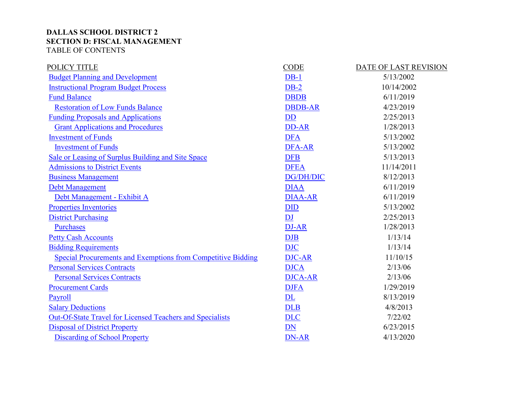## **DALLAS SCHOOL DISTRICT 2 SECTION D: FISCAL MANAGEMENT** TABLE OF CONTENTS

| <b>CODE</b>             | DATE OF LAST REVISION |
|-------------------------|-----------------------|
| $DB-1$                  | 5/13/2002             |
| $DB-2$                  | 10/14/2002            |
| <b>DBDB</b>             | 6/11/2019             |
| <b>DBDB-AR</b>          | 4/23/2019             |
| <b>DD</b>               | 2/25/2013             |
| DD-AR                   | 1/28/2013             |
| <b>DFA</b>              | 5/13/2002             |
| DFA-AR                  | 5/13/2002             |
| <b>DFB</b>              | 5/13/2013             |
| <b>DFEA</b>             | 11/14/2011            |
| <b>DG/DH/DIC</b>        | 8/12/2013             |
| <b>DIAA</b>             | 6/11/2019             |
| <b>DIAA-AR</b>          | 6/11/2019             |
| <b>DID</b>              | 5/13/2002             |
| $\overline{\mathbf{D}}$ | 2/25/2013             |
| DJ-AR                   | 1/28/2013             |
| <b>DJB</b>              | 1/13/14               |
| <b>DJC</b>              | 1/13/14               |
| <b>DJC-AR</b>           | 11/10/15              |
| <b>DJCA</b>             | 2/13/06               |
| <b>DJCA-AR</b>          | 2/13/06               |
| <b>DJFA</b>             | 1/29/2019             |
| DL                      | 8/13/2019             |
| <b>DLB</b>              | 4/8/2013              |
| <b>DLC</b>              | 7/22/02               |
| DN                      | 6/23/2015             |
| <b>DN-AR</b>            | 4/13/2020             |
|                         |                       |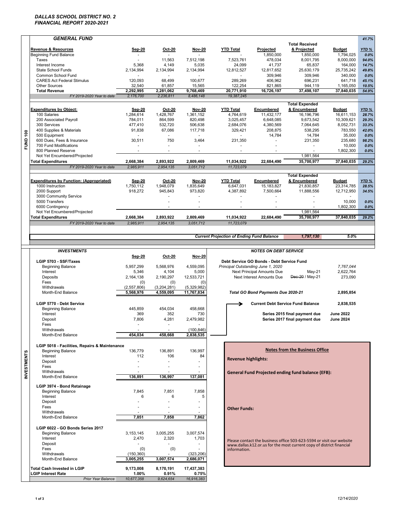### *DALLAS SCHOOL DISTRICT NO. 2 FINANCIAL REPORT 2020-2021*

|                    | <b>GENERAL FUND</b>                                       |                                    |                        |                            |                                                  |                                           |                                                                      |                             | 41.7%            |
|--------------------|-----------------------------------------------------------|------------------------------------|------------------------|----------------------------|--------------------------------------------------|-------------------------------------------|----------------------------------------------------------------------|-----------------------------|------------------|
|                    |                                                           |                                    |                        |                            |                                                  |                                           | <b>Total Received</b>                                                |                             |                  |
|                    | Revenue & Resources<br><b>Beginning Fund Balance</b>      | Sep-20<br>$\overline{\phantom{a}}$ | Oct-20<br>$\sim$       | <b>Nov-20</b>              | <b>YTD Total</b>                                 | Projected<br>1.850.000                    | & Projected<br>1,850,000                                             | <b>Budget</b><br>1,794,025  | YTD%<br>0.0%     |
|                    | Taxes                                                     |                                    | 11,563                 | 7,512,198                  | 7,523,761                                        | 478,034                                   | 8,001,795                                                            | 8,000,000                   | 94.0%            |
|                    | Interest Income                                           | 5,368                              | 4,149                  | 5,035                      | 24,099                                           | 41,737                                    | 65,837                                                               | 164,000                     | 14.7%            |
|                    | State School Funds<br>Common School Fund                  | 2,134,994                          | 2,134,994              | 2,134,994                  | 12,812,527                                       | 12,817,652<br>309,946                     | 25,630,179<br>309,946                                                | 25,735,242<br>340,000       | 49.8%<br>0.0%    |
|                    | <b>CARES Act Federal Stimulus</b>                         | 120,093                            | 68,499                 | 100,677                    | 289,269                                          | 406,962                                   | 696,231                                                              | 641,718                     | 45.1%            |
|                    | <b>Other Sources</b>                                      | 32,540                             | 61,857                 | 15,565                     | 122,254                                          | 821,865                                   | 944,119                                                              | 1,165,050                   | 10.5%            |
|                    | <b>Total Revenue</b>                                      | 2,292,995                          | 2,281,062              | 9,768,469                  | 20,771,910                                       | 16,726,197                                | 37,498,107                                                           | 37,840,035                  | 54.9%            |
|                    | FY 2019-2020 Year to date                                 | 2,176,700                          | 2,236,811              | 8,486,148                  | 19,387,245                                       |                                           |                                                                      |                             |                  |
|                    |                                                           |                                    |                        |                            |                                                  |                                           | <b>Total Expended</b>                                                |                             |                  |
|                    | <b>Expenditures by Object:</b><br>100 Salaries            | Sep-20<br>1,284,614                | Oct-20<br>1,428,767    | <b>Nov-20</b><br>1,361,152 | <b>YTD Total</b><br>4,764,619                    | Encumbered<br>11,432,177                  | & Encumbered<br>16, 196, 796                                         | <b>Budget</b><br>16,611,153 | YTD%<br>28.7%    |
|                    | 200 Associated Payroll                                    | 784,011                            | 864,599                | 820,498                    | 3.025.457                                        | 6,648,085                                 | 9,673,542                                                            | 10,309,621                  | 29.3%            |
|                    | 300 Services                                              | 477,410                            | 532,720                | 506,638                    | 2.684.076                                        | 4,380,569                                 | 7,064,645                                                            | 8,052,731                   | 33.3%            |
|                    | 400 Supplies & Materials                                  | 91,838                             | 67,086                 | 117,718                    | 329,421                                          | 208,875                                   | 538,295                                                              | 783,550                     | 42.0%            |
| FUND 100           | 500 Equipment<br>600 Dues, Fees & Insurance               | 30,511                             | ä,<br>750              | $\sim$<br>3,464            | 231,350                                          | 14,784                                    | 14,784<br>231,350                                                    | 35,000<br>235,680           | 0.0%<br>98.2%    |
|                    | 700 Fund Modifications                                    | $\blacksquare$                     | ÷.                     | ÷.                         | $\blacksquare$                                   | ÷.                                        | ÷.                                                                   | 10,000                      | 0.0%             |
|                    | 800 Planned Reserve                                       |                                    |                        |                            |                                                  |                                           |                                                                      | 1,802,300                   | 0.0%             |
|                    | Not Yet Encumbered/Projected<br><b>Total Expenditures</b> |                                    |                        |                            | 11,034,922                                       |                                           | 1,981,564<br>35,700,977                                              |                             |                  |
|                    | FY 2019-2020 Year to date                                 | 2,668,384<br>2,985,911             | 2,893,922<br>2,954,135 | 2,809,469<br>3,051,712     | 11,723,079                                       | 22,684,490                                |                                                                      | 37,840,035                  | 29.2%            |
|                    |                                                           |                                    |                        |                            |                                                  |                                           |                                                                      |                             |                  |
|                    | <b>Expenditures by Function: (Appropriated)</b>           | Sep-20                             | <b>Oct-20</b>          | <b>Nov-20</b>              | <b>YTD Total</b>                                 | Encumbered                                | <b>Total Expended</b><br>& Encumbered                                | <b>Budget</b>               | YTD <sub>%</sub> |
|                    | 1000 Instruction                                          | 1.750.112                          | 1,948,079              | 1,835,649                  | 6,647,031                                        | 15,183,827                                | 21,830,857                                                           | 23.314.785                  | 28.5%            |
|                    | 2000 Support                                              | 918,272                            | 945,843                | 973,820                    | 4.387.892                                        | 7,500,664                                 | 11,888,556                                                           | 12,712,950                  | 34.5%            |
|                    | 3000 Community Service                                    |                                    |                        | ÷.                         |                                                  |                                           |                                                                      | $\overline{a}$              |                  |
|                    | 5000 Transfers<br>6000 Contingency                        |                                    |                        | ÷.                         |                                                  | ÷.                                        |                                                                      | 10,000<br>1,802,300         | 0.0%<br>0.0%     |
|                    | Not Yet Encumbered/Projected                              |                                    |                        |                            |                                                  |                                           | 1,981,564                                                            |                             |                  |
|                    | <b>Total Expenditures</b>                                 | 2,668,384                          | 2,893,922              | 2,809,469                  | 11,034,922                                       | 22,684,490                                | 35,700,977                                                           | 37,840,035                  | 29.2%            |
|                    | FY 2019-2020 Year to date                                 | 2,985,911                          | 2,954,135              | 3,051,712                  | 11,723,079                                       |                                           |                                                                      |                             |                  |
|                    |                                                           |                                    |                        |                            |                                                  |                                           |                                                                      |                             |                  |
|                    |                                                           |                                    |                        |                            | <b>Current Projection of Ending Fund Balance</b> |                                           | 1,797,130                                                            | 5.0%                        |                  |
|                    |                                                           |                                    |                        |                            |                                                  |                                           |                                                                      |                             |                  |
|                    | <b>INVESTMENTS</b>                                        | Sep-20                             | Oct-20                 | <b>Nov-20</b>              |                                                  | <b>NOTES ON DEBT SERVICE</b>              |                                                                      |                             |                  |
|                    |                                                           |                                    |                        |                            |                                                  |                                           |                                                                      |                             |                  |
|                    | LGIP 5703 - SSF/Taxes                                     |                                    |                        |                            |                                                  | Debt Service GO Bonds - Debt Service Fund |                                                                      |                             |                  |
|                    | <b>Beginning Balance</b>                                  | 5,957,299                          | 5,568,976              | 4,559,095                  | Principal Outstanding June 1, 2020               |                                           |                                                                      | 7,767,044                   |                  |
|                    | Interest                                                  | 5,346                              | 4,104                  | 5,000                      |                                                  | Next Principal Amounts Due                | May-21                                                               | 2,622,764                   |                  |
|                    | Deposits                                                  | 2,164,138                          | 2,190,297              | 12,533,721                 |                                                  | Next Interest Amounts Due                 | Dec-20 / May-21                                                      | 273,090                     |                  |
|                    | Fees<br>Withdrawals                                       | (0)<br>(2,557,806)                 | (0)<br>(3,204,281)     | (0)<br>(5,329,982)         |                                                  |                                           |                                                                      |                             |                  |
|                    | Month-End Balance                                         | 5,568,976                          | 4,559,095              | 11,767,834                 |                                                  | Total GO Bond Payments Due 2020-21        |                                                                      | 2,895,854                   |                  |
|                    |                                                           |                                    |                        |                            |                                                  |                                           |                                                                      |                             |                  |
|                    | LGIP 5770 - Debt Service                                  |                                    |                        |                            |                                                  |                                           | <b>Current Debt Service Fund Balance</b>                             | 2,838,535                   |                  |
|                    | <b>Beginning Balance</b><br>Interest                      | 445,859<br>369                     | 454,034<br>352         | 458,668<br>730             |                                                  |                                           | Series 2015 final payment due                                        | <b>June 2022</b>            |                  |
|                    | Deposit                                                   | 7,806                              | 4,281                  | 2.479.982                  |                                                  |                                           | Series 2017 final payment due                                        | <b>June 2024</b>            |                  |
|                    | Fees                                                      |                                    |                        | $\sim$                     |                                                  |                                           |                                                                      |                             |                  |
|                    | Withdrawals<br>Month-End Balance                          | 454,034                            | 458,668                | (100, 846)<br>2,838,535    |                                                  |                                           |                                                                      |                             |                  |
|                    |                                                           |                                    |                        |                            |                                                  |                                           |                                                                      |                             |                  |
|                    | LGIP 5018 - Facilities, Repairs & Maintenance             |                                    |                        |                            |                                                  |                                           |                                                                      |                             |                  |
|                    | <b>Beginning Balance</b>                                  | 136,779                            | 136,891                | 136,997                    |                                                  |                                           | <b>Notes from the Business Office</b>                                |                             |                  |
|                    | Interest<br>Deposit                                       | 112                                | 106                    | 84                         | <b>Revenue highlights:</b>                       |                                           |                                                                      |                             |                  |
|                    | Fees                                                      |                                    |                        |                            |                                                  |                                           |                                                                      |                             |                  |
|                    | Withdrawals                                               |                                    |                        |                            |                                                  |                                           | <b>General Fund Projected ending fund balance (EFB):</b>             |                             |                  |
|                    | Month-End Balance                                         | 136,891                            | 136,997                | 137,081                    |                                                  |                                           |                                                                      |                             |                  |
|                    | LGIP 3974 - Bond Retainage                                |                                    |                        |                            |                                                  |                                           |                                                                      |                             |                  |
| <b>INVESTMENTS</b> | <b>Beginning Balance</b>                                  | 7,845                              | 7,851                  | 7,858                      |                                                  |                                           |                                                                      |                             |                  |
|                    | Interest                                                  | 6                                  | 6                      | 5                          |                                                  |                                           |                                                                      |                             |                  |
|                    | Deposit<br>Fees                                           |                                    |                        |                            | <b>Other Funds:</b>                              |                                           |                                                                      |                             |                  |
|                    | Withdrawals                                               |                                    |                        |                            |                                                  |                                           |                                                                      |                             |                  |
|                    | Month-End Balance                                         | 7,851                              | 7,858                  | 7,862                      |                                                  |                                           |                                                                      |                             |                  |
|                    | LGIP 6022 - GO Bonds Series 2017                          |                                    |                        |                            |                                                  |                                           |                                                                      |                             |                  |
|                    | <b>Beginning Balance</b>                                  | 3, 153, 145                        | 3,005,255              | 3,007,574                  |                                                  |                                           |                                                                      |                             |                  |
|                    | Interest                                                  | 2,470                              | 2,320                  | 1,703                      |                                                  |                                           | Please contact the business office 503-623-5594 or visit our website |                             |                  |
|                    | Deposit<br>Fees                                           |                                    |                        |                            |                                                  |                                           | www.dallas.k12.or.us for the most current copy of district financial |                             |                  |
|                    | Withdrawals                                               | (0)<br>(150, 360)                  | (0)                    | (323, 206)                 | information.                                     |                                           |                                                                      |                             |                  |
|                    | Month-End Balance                                         | 3,005,255                          | 3,007,574              | 2,686,071                  |                                                  |                                           |                                                                      |                             |                  |
|                    | Total Cash Invested in LGIP                               | 9,173,008                          | 8,170,191              | 17,437,383                 |                                                  |                                           |                                                                      |                             |                  |
|                    | <b>LGIP Interest Rate</b>                                 | 1.00%<br>10,677,358                | 0.91%<br>9,624,654     | 0.75%<br>16,916,383        |                                                  |                                           |                                                                      |                             |                  |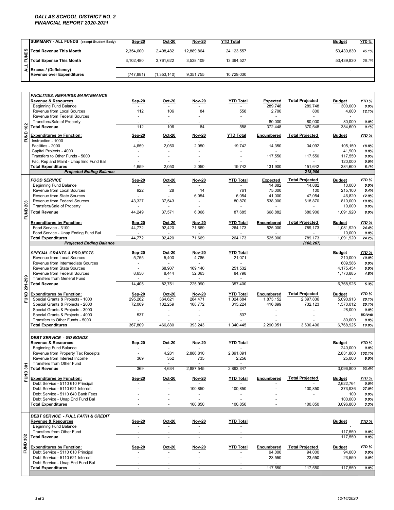### *DALLAS SCHOOL DISTRICT NO. 2 FINANCIAL REPORT 2020-2021*

|   | SUMMARY - ALL FUNDS (except Student Body)                        | Sep-20     | <b>Oct-20</b> | <b>Nov-20</b> | <b>YTD Total</b> | <b>Budget</b> | <u>YTD %</u> |
|---|------------------------------------------------------------------|------------|---------------|---------------|------------------|---------------|--------------|
|   |                                                                  | 2.354.600  | 2.408.482     | 12.889.864    | 24, 123, 557     | 53.439.830    | 45.1%        |
|   | Soll Total Revenue This Month<br>Ell<br>Total Expense This Month | 3.102.480  | 3.761.622     | 3.538.109     | 13.394.527       | 53.439.830    | 25.1%        |
| ÷ | 국 Excess / (Deficiency)<br>Revenue over Expenditures             | (747, 881) | (1,353,140)   | 9,351,755     | 10.729.030       |               |              |

| <b>Total Expense This Month</b><br>3,102,480<br>3,761,622<br>3,538,109<br>53,439,830<br>13,394,527<br>25.1%<br>$\frac{1}{2}$<br>Excess / (Deficiency)<br>÷.<br><b>Revenue over Expenditures</b><br>(747, 881)<br>(1,353,140)<br>9,351,755<br>10,729,030<br><b>FACILITIES. REPAIRS&amp; MAINTENANCE</b><br><b>Revenue &amp; Resources</b><br>Sep-20<br><b>YTD Total</b><br><b>Total Projected</b><br><b>Budget</b><br>YTD%<br><b>Oct-20</b><br><b>Nov-20</b><br><b>Expected</b><br><b>Beginning Fund Balance</b><br>289,748<br>289,748<br>300,000<br>0.0%<br>ä,<br>Revenue from Local Sources<br>106<br>84<br>558<br>2,700<br>4,600<br>112<br>800<br>12.1%<br>Revenue from Federal Sources<br>÷<br>80,000<br>Transfers/Sale of Property<br>80,000<br>80,000<br>$0.0\%$<br>÷.<br>$\sim$<br>$\ddot{\phantom{1}}$<br>$\blacksquare$<br><b>FUND 102</b><br>84<br>558<br>384,600<br><b>Total Revenue</b><br>112<br>106<br>372,448<br>370,548<br>0.1%<br>YTD %<br><b>Expenditures by Function:</b><br>Sep-20<br>Nov-20<br><b>YTD Total</b><br>Encumbered<br><b>Total Projected</b><br><b>Budget</b><br>Oct-20<br>Instruction - 1000<br>$\overline{\phantom{a}}$<br>$\sim$<br>Facilities - 2000<br>4,659<br>2,050<br>19,742<br>14,350<br>105,150<br>2,050<br>34,092<br>18.8%<br>Capital Projects - 4000<br>41,900<br>0.0%<br>Transfers to Other Funds - 5000<br>117,550<br>117,550<br>117,550<br>0.0%<br>$\ddot{\phantom{1}}$<br>$\sim$<br>÷.<br>Fac, Rep and Maint - Unap End Fund Bal<br>120,000<br>0.0%<br>4,659<br>2,050<br>2,050<br>19,742<br>131,900<br>151,642<br>5.1%<br><b>Total Expenditures</b><br>384,600<br><b>Projected Ending Balance</b><br>218,906<br><b>FOOD SERVICE</b><br><b>YTD Total</b><br><b>Expected</b><br><b>Total Projected</b><br><b>Budget</b><br>YTD %<br>Sep-20<br><b>Oct-20</b><br><b>Nov-20</b><br>14,882<br><b>Beginning Fund Balance</b><br>14,882<br>10,000<br>0.0%<br>$\overline{a}$<br>$\sim$<br>Revenue from Local Sources<br>922<br>28<br>14<br>761<br>75,000<br>100<br>215,100<br>0.4%<br>41,000<br>Revenue from State Sources<br>6,054<br>6,054<br>47,054<br>46,820<br>12.9%<br>Revenue from Federal Sources<br>43,327<br>37,543<br>80,870<br>538,000<br>618,870<br>810,000<br>10.0%<br>÷,<br><b>FUND 203</b><br>Transfers/Sale of Property<br>10,000<br>0.0%<br>$\blacksquare$<br>$\overline{\phantom{a}}$<br><b>Total Revenue</b><br>44,249<br>37,571<br>6,068<br>87,685<br>668,882<br>680,906<br>1,091,920<br>8.0%<br><b>Total Projected</b><br><b>Expenditures by Function:</b><br>Sep-20<br><b>Oct-20</b><br><b>YTD Total</b><br>Encumbered<br><b>Budget</b><br>YTD %<br><b>Nov-20</b><br>Food Service - 3100<br>92,420<br>71,669<br>44,772<br>264,173<br>525,000<br>789,173<br>1,081,920<br>24.4%<br>Food Service - Unap Ending Fund Bal<br>10,000<br>0.0%<br>44,772<br>92,420<br>71,669<br>264,173<br>525,000<br>789,173<br>1,091,920<br><b>Total Expenditures</b><br><b>Projected Ending Balance</b><br>(108, 267)<br>YTD%<br><b>SPECIAL GRANTS &amp; PROJECTS</b><br><b>Oct-20</b><br><b>Nov-20</b><br><b>YTD Total</b><br><b>Budget</b><br>Sep-20<br>5,400<br>4,786<br>210,000<br>Revenue from Local Sources<br>5,755<br>21,071<br>10.0%<br>Revenue from Intermediate Sources<br>609,586<br>$0.0\%$<br>68,907<br>169,140<br>251,532<br>Revenue from State Sources<br>4,175,454<br>6.0%<br>$\blacksquare$<br>8,650<br>8,444<br>84,798<br><b>Revenue from Federal Sources</b><br>52,063<br>1,773,885<br>4.8%<br>FUND 201-299<br><b>Transfers from General Fund</b><br><b>Total Revenue</b><br>14,405<br>82,751<br>225,990<br>357,400<br>6,768,925<br>5.3%<br><b>Expenditures by Function:</b><br><b>Oct-20</b><br><b>YTD Total</b><br>Encumbered<br><b>Total Projected</b><br><b>Budget</b><br>YTD %<br>Sep-20<br><b>Nov-20</b><br>Special Grants & Projects - 1000<br>364,621<br>1,024,684<br>5,090,913<br>295,262<br>284,471<br>1.873.152<br>2,897,836<br>20.1%<br>Special Grants & Projects - 2000<br>72,009<br>102,259<br>108,772<br>315,224<br>416,899<br>732,123<br>1,570,012<br>20.1%<br>Special Grants & Projects - 3000<br>28,000<br>0.0%<br>Special Grants & Projects - 4000<br>537<br>537<br>#DIV/0!<br>$\sim$<br>Transfers to Other Funds - 5000<br>80,000<br>0.0%<br><b>Total Expenditures</b><br>367,809<br>466,880<br>393,243<br>1,340,445<br>2,290,051<br>3,630,496<br>6.768.925<br>19.8%<br><b>DEBT SERVICE - GO BONDS</b><br>Revenue & Resources<br><b>YTD Total</b><br>Sep-20<br>Oct-20<br>Nov-20<br><b>Budget</b><br>YTD %<br><b>Beginning Fund Balance</b><br>240,000<br>0.0%<br>$\sim$<br>Revenue from Property Tax Receipts<br>4,281<br>2,886,810<br>2,891,091<br>2,831,800<br>102.1%<br>$\blacksquare$<br>Revenue from Interest Income<br>369<br>352<br>735<br>2,256<br>25,000<br>9.0%<br>Transfers from Other Fund<br>$\sim$<br>$\tilde{5}$<br>369<br><b>Total Revenue</b><br>4,634<br>2,887,545<br>2,893,347<br>3,096,800<br>93.4%<br>FUND<br><b>Total Projected</b><br>YTD%<br><b>Expenditures by Function:</b><br>Sep-20<br>Encumbered<br>Oct-20<br><b>Nov-20</b><br><b>YTD Total</b><br><b>Budget</b><br>Debt Service - 5110 610 Principal<br>2,622,764<br>0.0%<br>$\overline{\phantom{a}}$<br>Debt Service - 5110 621 Interest<br>100,850<br>100,850<br>100,850<br>373,936<br>$\ddot{\phantom{1}}$<br>Debt Service - 5110 640 Bank Fees<br>100<br>$0.0\%$<br>÷,<br>ä,<br>÷.<br>Debt Service - Unap End Fund Bal<br>100,000<br>$0.0\%$<br>$\overline{\phantom{a}}$<br>ä,<br>$\sim$<br>100,850<br>100.850<br>100,850<br><b>Total Expenditures</b><br>3,096,800<br>÷.<br>÷<br><b>DEBT SERVICE - FULL FAITH &amp; CREDIT</b><br><b>Revenue &amp; Resources</b><br><b>YTD Total</b><br><b>Budget</b><br><u>Sep-20</u><br>Oct-20<br><b>Nov-20</b><br><u>YTD %</u><br><b>Beginning Fund Balance</b><br>$\sim$<br>$\blacksquare$<br>$\sim$<br>$\overline{\phantom{a}}$<br><b>Transfers from Other Fund</b><br>117,550<br>0.0%<br><b>FUND 302</b><br>117,550<br><b>Total Revenue</b><br>L.<br>L.<br>$\overline{\phantom{a}}$<br><b>Expenditures by Function:</b><br><b>YTD Total</b><br>Encumbered<br><b>Total Projected</b><br><u>YTD %</u><br><u>Sep-20</u><br>Oct-20<br><b>Nov-20</b><br>Budget<br>Debt Service - 5110 610 Principal<br>94,000<br>94,000<br>94,000<br>0.0%<br>23,550<br>Debt Service - 5110 621 Interest<br>23,550<br>23,550<br>÷,<br>ä,<br>Debt Service - Unap End Fund Bal<br>÷,<br>117,550<br>117,550<br>117,550<br><b>Total Expenditures</b><br>$\overline{\phantom{a}}$<br>$\overline{\phantom{a}}$<br>$\blacksquare$<br>÷ |       | Total Revenue This Month | 2,354,600 | 2,408,482 | 12,889,864 | 24,123,557 |  | 53,439,830 | 45.1%   |
|--------------------------------------------------------------------------------------------------------------------------------------------------------------------------------------------------------------------------------------------------------------------------------------------------------------------------------------------------------------------------------------------------------------------------------------------------------------------------------------------------------------------------------------------------------------------------------------------------------------------------------------------------------------------------------------------------------------------------------------------------------------------------------------------------------------------------------------------------------------------------------------------------------------------------------------------------------------------------------------------------------------------------------------------------------------------------------------------------------------------------------------------------------------------------------------------------------------------------------------------------------------------------------------------------------------------------------------------------------------------------------------------------------------------------------------------------------------------------------------------------------------------------------------------------------------------------------------------------------------------------------------------------------------------------------------------------------------------------------------------------------------------------------------------------------------------------------------------------------------------------------------------------------------------------------------------------------------------------------------------------------------------------------------------------------------------------------------------------------------------------------------------------------------------------------------------------------------------------------------------------------------------------------------------------------------------------------------------------------------------------------------------------------------------------------------------------------------------------------------------------------------------------------------------------------------------------------------------------------------------------------------------------------------------------------------------------------------------------------------------------------------------------------------------------------------------------------------------------------------------------------------------------------------------------------------------------------------------------------------------------------------------------------------------------------------------------------------------------------------------------------------------------------------------------------------------------------------------------------------------------------------------------------------------------------------------------------------------------------------------------------------------------------------------------------------------------------------------------------------------------------------------------------------------------------------------------------------------------------------------------------------------------------------------------------------------------------------------------------------------------------------------------------------------------------------------------------------------------------------------------------------------------------------------------------------------------------------------------------------------------------------------------------------------------------------------------------------------------------------------------------------------------------------------------------------------------------------------------------------------------------------------------------------------------------------------------------------------------------------------------------------------------------------------------------------------------------------------------------------------------------------------------------------------------------------------------------------------------------------------------------------------------------------------------------------------------------------------------------------------------------------------------------------------------------------------------------------------------------------------------------------------------------------------------------------------------------------------------------------------------------------------------------------------------------------------------------------------------------------------------------------------------------------------------------------------------------------------------------------------------------------------------------------------------------------------------------------------------------------------------------------------------------------------------------------------------------------------------------------------------------------------------------------------------------------------------------------------------------------------------------------------------------------------------------------------------------------------------------------------------------------------------------------------------------------------------------------------------------------------------------------------------------------------------------------------------------------------------------------------------------------------------------------------------------------------------------------------------------------------------------------------------------------------------------------------------------------------------------------------------------------------------------------------------------------------------------------------------------------------------------------------------------------------------------------------------------------------------------------------------------------------|-------|--------------------------|-----------|-----------|------------|------------|--|------------|---------|
|                                                                                                                                                                                                                                                                                                                                                                                                                                                                                                                                                                                                                                                                                                                                                                                                                                                                                                                                                                                                                                                                                                                                                                                                                                                                                                                                                                                                                                                                                                                                                                                                                                                                                                                                                                                                                                                                                                                                                                                                                                                                                                                                                                                                                                                                                                                                                                                                                                                                                                                                                                                                                                                                                                                                                                                                                                                                                                                                                                                                                                                                                                                                                                                                                                                                                                                                                                                                                                                                                                                                                                                                                                                                                                                                                                                                                                                                                                                                                                                                                                                                                                                                                                                                                                                                                                                                                                                                                                                                                                                                                                                                                                                                                                                                                                                                                                                                                                                                                                                                                                                                                                                                                                                                                                                                                                                                                                                                                                                                                                                                                                                                                                                                                                                                                                                                                                                                                                                                                                                                                                                                                                                                                                                                                                                                                                                                                                                                                                                                                                                    | FUNDS |                          |           |           |            |            |  |            |         |
|                                                                                                                                                                                                                                                                                                                                                                                                                                                                                                                                                                                                                                                                                                                                                                                                                                                                                                                                                                                                                                                                                                                                                                                                                                                                                                                                                                                                                                                                                                                                                                                                                                                                                                                                                                                                                                                                                                                                                                                                                                                                                                                                                                                                                                                                                                                                                                                                                                                                                                                                                                                                                                                                                                                                                                                                                                                                                                                                                                                                                                                                                                                                                                                                                                                                                                                                                                                                                                                                                                                                                                                                                                                                                                                                                                                                                                                                                                                                                                                                                                                                                                                                                                                                                                                                                                                                                                                                                                                                                                                                                                                                                                                                                                                                                                                                                                                                                                                                                                                                                                                                                                                                                                                                                                                                                                                                                                                                                                                                                                                                                                                                                                                                                                                                                                                                                                                                                                                                                                                                                                                                                                                                                                                                                                                                                                                                                                                                                                                                                                                    |       |                          |           |           |            |            |  |            |         |
|                                                                                                                                                                                                                                                                                                                                                                                                                                                                                                                                                                                                                                                                                                                                                                                                                                                                                                                                                                                                                                                                                                                                                                                                                                                                                                                                                                                                                                                                                                                                                                                                                                                                                                                                                                                                                                                                                                                                                                                                                                                                                                                                                                                                                                                                                                                                                                                                                                                                                                                                                                                                                                                                                                                                                                                                                                                                                                                                                                                                                                                                                                                                                                                                                                                                                                                                                                                                                                                                                                                                                                                                                                                                                                                                                                                                                                                                                                                                                                                                                                                                                                                                                                                                                                                                                                                                                                                                                                                                                                                                                                                                                                                                                                                                                                                                                                                                                                                                                                                                                                                                                                                                                                                                                                                                                                                                                                                                                                                                                                                                                                                                                                                                                                                                                                                                                                                                                                                                                                                                                                                                                                                                                                                                                                                                                                                                                                                                                                                                                                                    |       |                          |           |           |            |            |  |            |         |
|                                                                                                                                                                                                                                                                                                                                                                                                                                                                                                                                                                                                                                                                                                                                                                                                                                                                                                                                                                                                                                                                                                                                                                                                                                                                                                                                                                                                                                                                                                                                                                                                                                                                                                                                                                                                                                                                                                                                                                                                                                                                                                                                                                                                                                                                                                                                                                                                                                                                                                                                                                                                                                                                                                                                                                                                                                                                                                                                                                                                                                                                                                                                                                                                                                                                                                                                                                                                                                                                                                                                                                                                                                                                                                                                                                                                                                                                                                                                                                                                                                                                                                                                                                                                                                                                                                                                                                                                                                                                                                                                                                                                                                                                                                                                                                                                                                                                                                                                                                                                                                                                                                                                                                                                                                                                                                                                                                                                                                                                                                                                                                                                                                                                                                                                                                                                                                                                                                                                                                                                                                                                                                                                                                                                                                                                                                                                                                                                                                                                                                                    |       |                          |           |           |            |            |  |            |         |
|                                                                                                                                                                                                                                                                                                                                                                                                                                                                                                                                                                                                                                                                                                                                                                                                                                                                                                                                                                                                                                                                                                                                                                                                                                                                                                                                                                                                                                                                                                                                                                                                                                                                                                                                                                                                                                                                                                                                                                                                                                                                                                                                                                                                                                                                                                                                                                                                                                                                                                                                                                                                                                                                                                                                                                                                                                                                                                                                                                                                                                                                                                                                                                                                                                                                                                                                                                                                                                                                                                                                                                                                                                                                                                                                                                                                                                                                                                                                                                                                                                                                                                                                                                                                                                                                                                                                                                                                                                                                                                                                                                                                                                                                                                                                                                                                                                                                                                                                                                                                                                                                                                                                                                                                                                                                                                                                                                                                                                                                                                                                                                                                                                                                                                                                                                                                                                                                                                                                                                                                                                                                                                                                                                                                                                                                                                                                                                                                                                                                                                                    |       |                          |           |           |            |            |  |            |         |
|                                                                                                                                                                                                                                                                                                                                                                                                                                                                                                                                                                                                                                                                                                                                                                                                                                                                                                                                                                                                                                                                                                                                                                                                                                                                                                                                                                                                                                                                                                                                                                                                                                                                                                                                                                                                                                                                                                                                                                                                                                                                                                                                                                                                                                                                                                                                                                                                                                                                                                                                                                                                                                                                                                                                                                                                                                                                                                                                                                                                                                                                                                                                                                                                                                                                                                                                                                                                                                                                                                                                                                                                                                                                                                                                                                                                                                                                                                                                                                                                                                                                                                                                                                                                                                                                                                                                                                                                                                                                                                                                                                                                                                                                                                                                                                                                                                                                                                                                                                                                                                                                                                                                                                                                                                                                                                                                                                                                                                                                                                                                                                                                                                                                                                                                                                                                                                                                                                                                                                                                                                                                                                                                                                                                                                                                                                                                                                                                                                                                                                                    |       |                          |           |           |            |            |  |            |         |
|                                                                                                                                                                                                                                                                                                                                                                                                                                                                                                                                                                                                                                                                                                                                                                                                                                                                                                                                                                                                                                                                                                                                                                                                                                                                                                                                                                                                                                                                                                                                                                                                                                                                                                                                                                                                                                                                                                                                                                                                                                                                                                                                                                                                                                                                                                                                                                                                                                                                                                                                                                                                                                                                                                                                                                                                                                                                                                                                                                                                                                                                                                                                                                                                                                                                                                                                                                                                                                                                                                                                                                                                                                                                                                                                                                                                                                                                                                                                                                                                                                                                                                                                                                                                                                                                                                                                                                                                                                                                                                                                                                                                                                                                                                                                                                                                                                                                                                                                                                                                                                                                                                                                                                                                                                                                                                                                                                                                                                                                                                                                                                                                                                                                                                                                                                                                                                                                                                                                                                                                                                                                                                                                                                                                                                                                                                                                                                                                                                                                                                                    |       |                          |           |           |            |            |  |            |         |
|                                                                                                                                                                                                                                                                                                                                                                                                                                                                                                                                                                                                                                                                                                                                                                                                                                                                                                                                                                                                                                                                                                                                                                                                                                                                                                                                                                                                                                                                                                                                                                                                                                                                                                                                                                                                                                                                                                                                                                                                                                                                                                                                                                                                                                                                                                                                                                                                                                                                                                                                                                                                                                                                                                                                                                                                                                                                                                                                                                                                                                                                                                                                                                                                                                                                                                                                                                                                                                                                                                                                                                                                                                                                                                                                                                                                                                                                                                                                                                                                                                                                                                                                                                                                                                                                                                                                                                                                                                                                                                                                                                                                                                                                                                                                                                                                                                                                                                                                                                                                                                                                                                                                                                                                                                                                                                                                                                                                                                                                                                                                                                                                                                                                                                                                                                                                                                                                                                                                                                                                                                                                                                                                                                                                                                                                                                                                                                                                                                                                                                                    |       |                          |           |           |            |            |  |            |         |
|                                                                                                                                                                                                                                                                                                                                                                                                                                                                                                                                                                                                                                                                                                                                                                                                                                                                                                                                                                                                                                                                                                                                                                                                                                                                                                                                                                                                                                                                                                                                                                                                                                                                                                                                                                                                                                                                                                                                                                                                                                                                                                                                                                                                                                                                                                                                                                                                                                                                                                                                                                                                                                                                                                                                                                                                                                                                                                                                                                                                                                                                                                                                                                                                                                                                                                                                                                                                                                                                                                                                                                                                                                                                                                                                                                                                                                                                                                                                                                                                                                                                                                                                                                                                                                                                                                                                                                                                                                                                                                                                                                                                                                                                                                                                                                                                                                                                                                                                                                                                                                                                                                                                                                                                                                                                                                                                                                                                                                                                                                                                                                                                                                                                                                                                                                                                                                                                                                                                                                                                                                                                                                                                                                                                                                                                                                                                                                                                                                                                                                                    |       |                          |           |           |            |            |  |            |         |
|                                                                                                                                                                                                                                                                                                                                                                                                                                                                                                                                                                                                                                                                                                                                                                                                                                                                                                                                                                                                                                                                                                                                                                                                                                                                                                                                                                                                                                                                                                                                                                                                                                                                                                                                                                                                                                                                                                                                                                                                                                                                                                                                                                                                                                                                                                                                                                                                                                                                                                                                                                                                                                                                                                                                                                                                                                                                                                                                                                                                                                                                                                                                                                                                                                                                                                                                                                                                                                                                                                                                                                                                                                                                                                                                                                                                                                                                                                                                                                                                                                                                                                                                                                                                                                                                                                                                                                                                                                                                                                                                                                                                                                                                                                                                                                                                                                                                                                                                                                                                                                                                                                                                                                                                                                                                                                                                                                                                                                                                                                                                                                                                                                                                                                                                                                                                                                                                                                                                                                                                                                                                                                                                                                                                                                                                                                                                                                                                                                                                                                                    |       |                          |           |           |            |            |  |            |         |
|                                                                                                                                                                                                                                                                                                                                                                                                                                                                                                                                                                                                                                                                                                                                                                                                                                                                                                                                                                                                                                                                                                                                                                                                                                                                                                                                                                                                                                                                                                                                                                                                                                                                                                                                                                                                                                                                                                                                                                                                                                                                                                                                                                                                                                                                                                                                                                                                                                                                                                                                                                                                                                                                                                                                                                                                                                                                                                                                                                                                                                                                                                                                                                                                                                                                                                                                                                                                                                                                                                                                                                                                                                                                                                                                                                                                                                                                                                                                                                                                                                                                                                                                                                                                                                                                                                                                                                                                                                                                                                                                                                                                                                                                                                                                                                                                                                                                                                                                                                                                                                                                                                                                                                                                                                                                                                                                                                                                                                                                                                                                                                                                                                                                                                                                                                                                                                                                                                                                                                                                                                                                                                                                                                                                                                                                                                                                                                                                                                                                                                                    |       |                          |           |           |            |            |  |            |         |
|                                                                                                                                                                                                                                                                                                                                                                                                                                                                                                                                                                                                                                                                                                                                                                                                                                                                                                                                                                                                                                                                                                                                                                                                                                                                                                                                                                                                                                                                                                                                                                                                                                                                                                                                                                                                                                                                                                                                                                                                                                                                                                                                                                                                                                                                                                                                                                                                                                                                                                                                                                                                                                                                                                                                                                                                                                                                                                                                                                                                                                                                                                                                                                                                                                                                                                                                                                                                                                                                                                                                                                                                                                                                                                                                                                                                                                                                                                                                                                                                                                                                                                                                                                                                                                                                                                                                                                                                                                                                                                                                                                                                                                                                                                                                                                                                                                                                                                                                                                                                                                                                                                                                                                                                                                                                                                                                                                                                                                                                                                                                                                                                                                                                                                                                                                                                                                                                                                                                                                                                                                                                                                                                                                                                                                                                                                                                                                                                                                                                                                                    |       |                          |           |           |            |            |  |            |         |
|                                                                                                                                                                                                                                                                                                                                                                                                                                                                                                                                                                                                                                                                                                                                                                                                                                                                                                                                                                                                                                                                                                                                                                                                                                                                                                                                                                                                                                                                                                                                                                                                                                                                                                                                                                                                                                                                                                                                                                                                                                                                                                                                                                                                                                                                                                                                                                                                                                                                                                                                                                                                                                                                                                                                                                                                                                                                                                                                                                                                                                                                                                                                                                                                                                                                                                                                                                                                                                                                                                                                                                                                                                                                                                                                                                                                                                                                                                                                                                                                                                                                                                                                                                                                                                                                                                                                                                                                                                                                                                                                                                                                                                                                                                                                                                                                                                                                                                                                                                                                                                                                                                                                                                                                                                                                                                                                                                                                                                                                                                                                                                                                                                                                                                                                                                                                                                                                                                                                                                                                                                                                                                                                                                                                                                                                                                                                                                                                                                                                                                                    |       |                          |           |           |            |            |  |            |         |
|                                                                                                                                                                                                                                                                                                                                                                                                                                                                                                                                                                                                                                                                                                                                                                                                                                                                                                                                                                                                                                                                                                                                                                                                                                                                                                                                                                                                                                                                                                                                                                                                                                                                                                                                                                                                                                                                                                                                                                                                                                                                                                                                                                                                                                                                                                                                                                                                                                                                                                                                                                                                                                                                                                                                                                                                                                                                                                                                                                                                                                                                                                                                                                                                                                                                                                                                                                                                                                                                                                                                                                                                                                                                                                                                                                                                                                                                                                                                                                                                                                                                                                                                                                                                                                                                                                                                                                                                                                                                                                                                                                                                                                                                                                                                                                                                                                                                                                                                                                                                                                                                                                                                                                                                                                                                                                                                                                                                                                                                                                                                                                                                                                                                                                                                                                                                                                                                                                                                                                                                                                                                                                                                                                                                                                                                                                                                                                                                                                                                                                                    |       |                          |           |           |            |            |  |            |         |
|                                                                                                                                                                                                                                                                                                                                                                                                                                                                                                                                                                                                                                                                                                                                                                                                                                                                                                                                                                                                                                                                                                                                                                                                                                                                                                                                                                                                                                                                                                                                                                                                                                                                                                                                                                                                                                                                                                                                                                                                                                                                                                                                                                                                                                                                                                                                                                                                                                                                                                                                                                                                                                                                                                                                                                                                                                                                                                                                                                                                                                                                                                                                                                                                                                                                                                                                                                                                                                                                                                                                                                                                                                                                                                                                                                                                                                                                                                                                                                                                                                                                                                                                                                                                                                                                                                                                                                                                                                                                                                                                                                                                                                                                                                                                                                                                                                                                                                                                                                                                                                                                                                                                                                                                                                                                                                                                                                                                                                                                                                                                                                                                                                                                                                                                                                                                                                                                                                                                                                                                                                                                                                                                                                                                                                                                                                                                                                                                                                                                                                                    |       |                          |           |           |            |            |  |            |         |
|                                                                                                                                                                                                                                                                                                                                                                                                                                                                                                                                                                                                                                                                                                                                                                                                                                                                                                                                                                                                                                                                                                                                                                                                                                                                                                                                                                                                                                                                                                                                                                                                                                                                                                                                                                                                                                                                                                                                                                                                                                                                                                                                                                                                                                                                                                                                                                                                                                                                                                                                                                                                                                                                                                                                                                                                                                                                                                                                                                                                                                                                                                                                                                                                                                                                                                                                                                                                                                                                                                                                                                                                                                                                                                                                                                                                                                                                                                                                                                                                                                                                                                                                                                                                                                                                                                                                                                                                                                                                                                                                                                                                                                                                                                                                                                                                                                                                                                                                                                                                                                                                                                                                                                                                                                                                                                                                                                                                                                                                                                                                                                                                                                                                                                                                                                                                                                                                                                                                                                                                                                                                                                                                                                                                                                                                                                                                                                                                                                                                                                                    |       |                          |           |           |            |            |  |            |         |
|                                                                                                                                                                                                                                                                                                                                                                                                                                                                                                                                                                                                                                                                                                                                                                                                                                                                                                                                                                                                                                                                                                                                                                                                                                                                                                                                                                                                                                                                                                                                                                                                                                                                                                                                                                                                                                                                                                                                                                                                                                                                                                                                                                                                                                                                                                                                                                                                                                                                                                                                                                                                                                                                                                                                                                                                                                                                                                                                                                                                                                                                                                                                                                                                                                                                                                                                                                                                                                                                                                                                                                                                                                                                                                                                                                                                                                                                                                                                                                                                                                                                                                                                                                                                                                                                                                                                                                                                                                                                                                                                                                                                                                                                                                                                                                                                                                                                                                                                                                                                                                                                                                                                                                                                                                                                                                                                                                                                                                                                                                                                                                                                                                                                                                                                                                                                                                                                                                                                                                                                                                                                                                                                                                                                                                                                                                                                                                                                                                                                                                                    |       |                          |           |           |            |            |  |            |         |
|                                                                                                                                                                                                                                                                                                                                                                                                                                                                                                                                                                                                                                                                                                                                                                                                                                                                                                                                                                                                                                                                                                                                                                                                                                                                                                                                                                                                                                                                                                                                                                                                                                                                                                                                                                                                                                                                                                                                                                                                                                                                                                                                                                                                                                                                                                                                                                                                                                                                                                                                                                                                                                                                                                                                                                                                                                                                                                                                                                                                                                                                                                                                                                                                                                                                                                                                                                                                                                                                                                                                                                                                                                                                                                                                                                                                                                                                                                                                                                                                                                                                                                                                                                                                                                                                                                                                                                                                                                                                                                                                                                                                                                                                                                                                                                                                                                                                                                                                                                                                                                                                                                                                                                                                                                                                                                                                                                                                                                                                                                                                                                                                                                                                                                                                                                                                                                                                                                                                                                                                                                                                                                                                                                                                                                                                                                                                                                                                                                                                                                                    |       |                          |           |           |            |            |  |            |         |
|                                                                                                                                                                                                                                                                                                                                                                                                                                                                                                                                                                                                                                                                                                                                                                                                                                                                                                                                                                                                                                                                                                                                                                                                                                                                                                                                                                                                                                                                                                                                                                                                                                                                                                                                                                                                                                                                                                                                                                                                                                                                                                                                                                                                                                                                                                                                                                                                                                                                                                                                                                                                                                                                                                                                                                                                                                                                                                                                                                                                                                                                                                                                                                                                                                                                                                                                                                                                                                                                                                                                                                                                                                                                                                                                                                                                                                                                                                                                                                                                                                                                                                                                                                                                                                                                                                                                                                                                                                                                                                                                                                                                                                                                                                                                                                                                                                                                                                                                                                                                                                                                                                                                                                                                                                                                                                                                                                                                                                                                                                                                                                                                                                                                                                                                                                                                                                                                                                                                                                                                                                                                                                                                                                                                                                                                                                                                                                                                                                                                                                                    |       |                          |           |           |            |            |  |            |         |
|                                                                                                                                                                                                                                                                                                                                                                                                                                                                                                                                                                                                                                                                                                                                                                                                                                                                                                                                                                                                                                                                                                                                                                                                                                                                                                                                                                                                                                                                                                                                                                                                                                                                                                                                                                                                                                                                                                                                                                                                                                                                                                                                                                                                                                                                                                                                                                                                                                                                                                                                                                                                                                                                                                                                                                                                                                                                                                                                                                                                                                                                                                                                                                                                                                                                                                                                                                                                                                                                                                                                                                                                                                                                                                                                                                                                                                                                                                                                                                                                                                                                                                                                                                                                                                                                                                                                                                                                                                                                                                                                                                                                                                                                                                                                                                                                                                                                                                                                                                                                                                                                                                                                                                                                                                                                                                                                                                                                                                                                                                                                                                                                                                                                                                                                                                                                                                                                                                                                                                                                                                                                                                                                                                                                                                                                                                                                                                                                                                                                                                                    |       |                          |           |           |            |            |  |            |         |
|                                                                                                                                                                                                                                                                                                                                                                                                                                                                                                                                                                                                                                                                                                                                                                                                                                                                                                                                                                                                                                                                                                                                                                                                                                                                                                                                                                                                                                                                                                                                                                                                                                                                                                                                                                                                                                                                                                                                                                                                                                                                                                                                                                                                                                                                                                                                                                                                                                                                                                                                                                                                                                                                                                                                                                                                                                                                                                                                                                                                                                                                                                                                                                                                                                                                                                                                                                                                                                                                                                                                                                                                                                                                                                                                                                                                                                                                                                                                                                                                                                                                                                                                                                                                                                                                                                                                                                                                                                                                                                                                                                                                                                                                                                                                                                                                                                                                                                                                                                                                                                                                                                                                                                                                                                                                                                                                                                                                                                                                                                                                                                                                                                                                                                                                                                                                                                                                                                                                                                                                                                                                                                                                                                                                                                                                                                                                                                                                                                                                                                                    |       |                          |           |           |            |            |  |            | 24.2%   |
|                                                                                                                                                                                                                                                                                                                                                                                                                                                                                                                                                                                                                                                                                                                                                                                                                                                                                                                                                                                                                                                                                                                                                                                                                                                                                                                                                                                                                                                                                                                                                                                                                                                                                                                                                                                                                                                                                                                                                                                                                                                                                                                                                                                                                                                                                                                                                                                                                                                                                                                                                                                                                                                                                                                                                                                                                                                                                                                                                                                                                                                                                                                                                                                                                                                                                                                                                                                                                                                                                                                                                                                                                                                                                                                                                                                                                                                                                                                                                                                                                                                                                                                                                                                                                                                                                                                                                                                                                                                                                                                                                                                                                                                                                                                                                                                                                                                                                                                                                                                                                                                                                                                                                                                                                                                                                                                                                                                                                                                                                                                                                                                                                                                                                                                                                                                                                                                                                                                                                                                                                                                                                                                                                                                                                                                                                                                                                                                                                                                                                                                    |       |                          |           |           |            |            |  |            |         |
|                                                                                                                                                                                                                                                                                                                                                                                                                                                                                                                                                                                                                                                                                                                                                                                                                                                                                                                                                                                                                                                                                                                                                                                                                                                                                                                                                                                                                                                                                                                                                                                                                                                                                                                                                                                                                                                                                                                                                                                                                                                                                                                                                                                                                                                                                                                                                                                                                                                                                                                                                                                                                                                                                                                                                                                                                                                                                                                                                                                                                                                                                                                                                                                                                                                                                                                                                                                                                                                                                                                                                                                                                                                                                                                                                                                                                                                                                                                                                                                                                                                                                                                                                                                                                                                                                                                                                                                                                                                                                                                                                                                                                                                                                                                                                                                                                                                                                                                                                                                                                                                                                                                                                                                                                                                                                                                                                                                                                                                                                                                                                                                                                                                                                                                                                                                                                                                                                                                                                                                                                                                                                                                                                                                                                                                                                                                                                                                                                                                                                                                    |       |                          |           |           |            |            |  |            |         |
|                                                                                                                                                                                                                                                                                                                                                                                                                                                                                                                                                                                                                                                                                                                                                                                                                                                                                                                                                                                                                                                                                                                                                                                                                                                                                                                                                                                                                                                                                                                                                                                                                                                                                                                                                                                                                                                                                                                                                                                                                                                                                                                                                                                                                                                                                                                                                                                                                                                                                                                                                                                                                                                                                                                                                                                                                                                                                                                                                                                                                                                                                                                                                                                                                                                                                                                                                                                                                                                                                                                                                                                                                                                                                                                                                                                                                                                                                                                                                                                                                                                                                                                                                                                                                                                                                                                                                                                                                                                                                                                                                                                                                                                                                                                                                                                                                                                                                                                                                                                                                                                                                                                                                                                                                                                                                                                                                                                                                                                                                                                                                                                                                                                                                                                                                                                                                                                                                                                                                                                                                                                                                                                                                                                                                                                                                                                                                                                                                                                                                                                    |       |                          |           |           |            |            |  |            |         |
|                                                                                                                                                                                                                                                                                                                                                                                                                                                                                                                                                                                                                                                                                                                                                                                                                                                                                                                                                                                                                                                                                                                                                                                                                                                                                                                                                                                                                                                                                                                                                                                                                                                                                                                                                                                                                                                                                                                                                                                                                                                                                                                                                                                                                                                                                                                                                                                                                                                                                                                                                                                                                                                                                                                                                                                                                                                                                                                                                                                                                                                                                                                                                                                                                                                                                                                                                                                                                                                                                                                                                                                                                                                                                                                                                                                                                                                                                                                                                                                                                                                                                                                                                                                                                                                                                                                                                                                                                                                                                                                                                                                                                                                                                                                                                                                                                                                                                                                                                                                                                                                                                                                                                                                                                                                                                                                                                                                                                                                                                                                                                                                                                                                                                                                                                                                                                                                                                                                                                                                                                                                                                                                                                                                                                                                                                                                                                                                                                                                                                                                    |       |                          |           |           |            |            |  |            |         |
|                                                                                                                                                                                                                                                                                                                                                                                                                                                                                                                                                                                                                                                                                                                                                                                                                                                                                                                                                                                                                                                                                                                                                                                                                                                                                                                                                                                                                                                                                                                                                                                                                                                                                                                                                                                                                                                                                                                                                                                                                                                                                                                                                                                                                                                                                                                                                                                                                                                                                                                                                                                                                                                                                                                                                                                                                                                                                                                                                                                                                                                                                                                                                                                                                                                                                                                                                                                                                                                                                                                                                                                                                                                                                                                                                                                                                                                                                                                                                                                                                                                                                                                                                                                                                                                                                                                                                                                                                                                                                                                                                                                                                                                                                                                                                                                                                                                                                                                                                                                                                                                                                                                                                                                                                                                                                                                                                                                                                                                                                                                                                                                                                                                                                                                                                                                                                                                                                                                                                                                                                                                                                                                                                                                                                                                                                                                                                                                                                                                                                                                    |       |                          |           |           |            |            |  |            |         |
|                                                                                                                                                                                                                                                                                                                                                                                                                                                                                                                                                                                                                                                                                                                                                                                                                                                                                                                                                                                                                                                                                                                                                                                                                                                                                                                                                                                                                                                                                                                                                                                                                                                                                                                                                                                                                                                                                                                                                                                                                                                                                                                                                                                                                                                                                                                                                                                                                                                                                                                                                                                                                                                                                                                                                                                                                                                                                                                                                                                                                                                                                                                                                                                                                                                                                                                                                                                                                                                                                                                                                                                                                                                                                                                                                                                                                                                                                                                                                                                                                                                                                                                                                                                                                                                                                                                                                                                                                                                                                                                                                                                                                                                                                                                                                                                                                                                                                                                                                                                                                                                                                                                                                                                                                                                                                                                                                                                                                                                                                                                                                                                                                                                                                                                                                                                                                                                                                                                                                                                                                                                                                                                                                                                                                                                                                                                                                                                                                                                                                                                    |       |                          |           |           |            |            |  |            |         |
|                                                                                                                                                                                                                                                                                                                                                                                                                                                                                                                                                                                                                                                                                                                                                                                                                                                                                                                                                                                                                                                                                                                                                                                                                                                                                                                                                                                                                                                                                                                                                                                                                                                                                                                                                                                                                                                                                                                                                                                                                                                                                                                                                                                                                                                                                                                                                                                                                                                                                                                                                                                                                                                                                                                                                                                                                                                                                                                                                                                                                                                                                                                                                                                                                                                                                                                                                                                                                                                                                                                                                                                                                                                                                                                                                                                                                                                                                                                                                                                                                                                                                                                                                                                                                                                                                                                                                                                                                                                                                                                                                                                                                                                                                                                                                                                                                                                                                                                                                                                                                                                                                                                                                                                                                                                                                                                                                                                                                                                                                                                                                                                                                                                                                                                                                                                                                                                                                                                                                                                                                                                                                                                                                                                                                                                                                                                                                                                                                                                                                                                    |       |                          |           |           |            |            |  |            |         |
|                                                                                                                                                                                                                                                                                                                                                                                                                                                                                                                                                                                                                                                                                                                                                                                                                                                                                                                                                                                                                                                                                                                                                                                                                                                                                                                                                                                                                                                                                                                                                                                                                                                                                                                                                                                                                                                                                                                                                                                                                                                                                                                                                                                                                                                                                                                                                                                                                                                                                                                                                                                                                                                                                                                                                                                                                                                                                                                                                                                                                                                                                                                                                                                                                                                                                                                                                                                                                                                                                                                                                                                                                                                                                                                                                                                                                                                                                                                                                                                                                                                                                                                                                                                                                                                                                                                                                                                                                                                                                                                                                                                                                                                                                                                                                                                                                                                                                                                                                                                                                                                                                                                                                                                                                                                                                                                                                                                                                                                                                                                                                                                                                                                                                                                                                                                                                                                                                                                                                                                                                                                                                                                                                                                                                                                                                                                                                                                                                                                                                                                    |       |                          |           |           |            |            |  |            |         |
|                                                                                                                                                                                                                                                                                                                                                                                                                                                                                                                                                                                                                                                                                                                                                                                                                                                                                                                                                                                                                                                                                                                                                                                                                                                                                                                                                                                                                                                                                                                                                                                                                                                                                                                                                                                                                                                                                                                                                                                                                                                                                                                                                                                                                                                                                                                                                                                                                                                                                                                                                                                                                                                                                                                                                                                                                                                                                                                                                                                                                                                                                                                                                                                                                                                                                                                                                                                                                                                                                                                                                                                                                                                                                                                                                                                                                                                                                                                                                                                                                                                                                                                                                                                                                                                                                                                                                                                                                                                                                                                                                                                                                                                                                                                                                                                                                                                                                                                                                                                                                                                                                                                                                                                                                                                                                                                                                                                                                                                                                                                                                                                                                                                                                                                                                                                                                                                                                                                                                                                                                                                                                                                                                                                                                                                                                                                                                                                                                                                                                                                    |       |                          |           |           |            |            |  |            |         |
|                                                                                                                                                                                                                                                                                                                                                                                                                                                                                                                                                                                                                                                                                                                                                                                                                                                                                                                                                                                                                                                                                                                                                                                                                                                                                                                                                                                                                                                                                                                                                                                                                                                                                                                                                                                                                                                                                                                                                                                                                                                                                                                                                                                                                                                                                                                                                                                                                                                                                                                                                                                                                                                                                                                                                                                                                                                                                                                                                                                                                                                                                                                                                                                                                                                                                                                                                                                                                                                                                                                                                                                                                                                                                                                                                                                                                                                                                                                                                                                                                                                                                                                                                                                                                                                                                                                                                                                                                                                                                                                                                                                                                                                                                                                                                                                                                                                                                                                                                                                                                                                                                                                                                                                                                                                                                                                                                                                                                                                                                                                                                                                                                                                                                                                                                                                                                                                                                                                                                                                                                                                                                                                                                                                                                                                                                                                                                                                                                                                                                                                    |       |                          |           |           |            |            |  |            |         |
|                                                                                                                                                                                                                                                                                                                                                                                                                                                                                                                                                                                                                                                                                                                                                                                                                                                                                                                                                                                                                                                                                                                                                                                                                                                                                                                                                                                                                                                                                                                                                                                                                                                                                                                                                                                                                                                                                                                                                                                                                                                                                                                                                                                                                                                                                                                                                                                                                                                                                                                                                                                                                                                                                                                                                                                                                                                                                                                                                                                                                                                                                                                                                                                                                                                                                                                                                                                                                                                                                                                                                                                                                                                                                                                                                                                                                                                                                                                                                                                                                                                                                                                                                                                                                                                                                                                                                                                                                                                                                                                                                                                                                                                                                                                                                                                                                                                                                                                                                                                                                                                                                                                                                                                                                                                                                                                                                                                                                                                                                                                                                                                                                                                                                                                                                                                                                                                                                                                                                                                                                                                                                                                                                                                                                                                                                                                                                                                                                                                                                                                    |       |                          |           |           |            |            |  |            |         |
|                                                                                                                                                                                                                                                                                                                                                                                                                                                                                                                                                                                                                                                                                                                                                                                                                                                                                                                                                                                                                                                                                                                                                                                                                                                                                                                                                                                                                                                                                                                                                                                                                                                                                                                                                                                                                                                                                                                                                                                                                                                                                                                                                                                                                                                                                                                                                                                                                                                                                                                                                                                                                                                                                                                                                                                                                                                                                                                                                                                                                                                                                                                                                                                                                                                                                                                                                                                                                                                                                                                                                                                                                                                                                                                                                                                                                                                                                                                                                                                                                                                                                                                                                                                                                                                                                                                                                                                                                                                                                                                                                                                                                                                                                                                                                                                                                                                                                                                                                                                                                                                                                                                                                                                                                                                                                                                                                                                                                                                                                                                                                                                                                                                                                                                                                                                                                                                                                                                                                                                                                                                                                                                                                                                                                                                                                                                                                                                                                                                                                                                    |       |                          |           |           |            |            |  |            |         |
|                                                                                                                                                                                                                                                                                                                                                                                                                                                                                                                                                                                                                                                                                                                                                                                                                                                                                                                                                                                                                                                                                                                                                                                                                                                                                                                                                                                                                                                                                                                                                                                                                                                                                                                                                                                                                                                                                                                                                                                                                                                                                                                                                                                                                                                                                                                                                                                                                                                                                                                                                                                                                                                                                                                                                                                                                                                                                                                                                                                                                                                                                                                                                                                                                                                                                                                                                                                                                                                                                                                                                                                                                                                                                                                                                                                                                                                                                                                                                                                                                                                                                                                                                                                                                                                                                                                                                                                                                                                                                                                                                                                                                                                                                                                                                                                                                                                                                                                                                                                                                                                                                                                                                                                                                                                                                                                                                                                                                                                                                                                                                                                                                                                                                                                                                                                                                                                                                                                                                                                                                                                                                                                                                                                                                                                                                                                                                                                                                                                                                                                    |       |                          |           |           |            |            |  |            |         |
|                                                                                                                                                                                                                                                                                                                                                                                                                                                                                                                                                                                                                                                                                                                                                                                                                                                                                                                                                                                                                                                                                                                                                                                                                                                                                                                                                                                                                                                                                                                                                                                                                                                                                                                                                                                                                                                                                                                                                                                                                                                                                                                                                                                                                                                                                                                                                                                                                                                                                                                                                                                                                                                                                                                                                                                                                                                                                                                                                                                                                                                                                                                                                                                                                                                                                                                                                                                                                                                                                                                                                                                                                                                                                                                                                                                                                                                                                                                                                                                                                                                                                                                                                                                                                                                                                                                                                                                                                                                                                                                                                                                                                                                                                                                                                                                                                                                                                                                                                                                                                                                                                                                                                                                                                                                                                                                                                                                                                                                                                                                                                                                                                                                                                                                                                                                                                                                                                                                                                                                                                                                                                                                                                                                                                                                                                                                                                                                                                                                                                                                    |       |                          |           |           |            |            |  |            |         |
|                                                                                                                                                                                                                                                                                                                                                                                                                                                                                                                                                                                                                                                                                                                                                                                                                                                                                                                                                                                                                                                                                                                                                                                                                                                                                                                                                                                                                                                                                                                                                                                                                                                                                                                                                                                                                                                                                                                                                                                                                                                                                                                                                                                                                                                                                                                                                                                                                                                                                                                                                                                                                                                                                                                                                                                                                                                                                                                                                                                                                                                                                                                                                                                                                                                                                                                                                                                                                                                                                                                                                                                                                                                                                                                                                                                                                                                                                                                                                                                                                                                                                                                                                                                                                                                                                                                                                                                                                                                                                                                                                                                                                                                                                                                                                                                                                                                                                                                                                                                                                                                                                                                                                                                                                                                                                                                                                                                                                                                                                                                                                                                                                                                                                                                                                                                                                                                                                                                                                                                                                                                                                                                                                                                                                                                                                                                                                                                                                                                                                                                    |       |                          |           |           |            |            |  |            |         |
|                                                                                                                                                                                                                                                                                                                                                                                                                                                                                                                                                                                                                                                                                                                                                                                                                                                                                                                                                                                                                                                                                                                                                                                                                                                                                                                                                                                                                                                                                                                                                                                                                                                                                                                                                                                                                                                                                                                                                                                                                                                                                                                                                                                                                                                                                                                                                                                                                                                                                                                                                                                                                                                                                                                                                                                                                                                                                                                                                                                                                                                                                                                                                                                                                                                                                                                                                                                                                                                                                                                                                                                                                                                                                                                                                                                                                                                                                                                                                                                                                                                                                                                                                                                                                                                                                                                                                                                                                                                                                                                                                                                                                                                                                                                                                                                                                                                                                                                                                                                                                                                                                                                                                                                                                                                                                                                                                                                                                                                                                                                                                                                                                                                                                                                                                                                                                                                                                                                                                                                                                                                                                                                                                                                                                                                                                                                                                                                                                                                                                                                    |       |                          |           |           |            |            |  |            |         |
|                                                                                                                                                                                                                                                                                                                                                                                                                                                                                                                                                                                                                                                                                                                                                                                                                                                                                                                                                                                                                                                                                                                                                                                                                                                                                                                                                                                                                                                                                                                                                                                                                                                                                                                                                                                                                                                                                                                                                                                                                                                                                                                                                                                                                                                                                                                                                                                                                                                                                                                                                                                                                                                                                                                                                                                                                                                                                                                                                                                                                                                                                                                                                                                                                                                                                                                                                                                                                                                                                                                                                                                                                                                                                                                                                                                                                                                                                                                                                                                                                                                                                                                                                                                                                                                                                                                                                                                                                                                                                                                                                                                                                                                                                                                                                                                                                                                                                                                                                                                                                                                                                                                                                                                                                                                                                                                                                                                                                                                                                                                                                                                                                                                                                                                                                                                                                                                                                                                                                                                                                                                                                                                                                                                                                                                                                                                                                                                                                                                                                                                    |       |                          |           |           |            |            |  |            |         |
|                                                                                                                                                                                                                                                                                                                                                                                                                                                                                                                                                                                                                                                                                                                                                                                                                                                                                                                                                                                                                                                                                                                                                                                                                                                                                                                                                                                                                                                                                                                                                                                                                                                                                                                                                                                                                                                                                                                                                                                                                                                                                                                                                                                                                                                                                                                                                                                                                                                                                                                                                                                                                                                                                                                                                                                                                                                                                                                                                                                                                                                                                                                                                                                                                                                                                                                                                                                                                                                                                                                                                                                                                                                                                                                                                                                                                                                                                                                                                                                                                                                                                                                                                                                                                                                                                                                                                                                                                                                                                                                                                                                                                                                                                                                                                                                                                                                                                                                                                                                                                                                                                                                                                                                                                                                                                                                                                                                                                                                                                                                                                                                                                                                                                                                                                                                                                                                                                                                                                                                                                                                                                                                                                                                                                                                                                                                                                                                                                                                                                                                    |       |                          |           |           |            |            |  |            |         |
|                                                                                                                                                                                                                                                                                                                                                                                                                                                                                                                                                                                                                                                                                                                                                                                                                                                                                                                                                                                                                                                                                                                                                                                                                                                                                                                                                                                                                                                                                                                                                                                                                                                                                                                                                                                                                                                                                                                                                                                                                                                                                                                                                                                                                                                                                                                                                                                                                                                                                                                                                                                                                                                                                                                                                                                                                                                                                                                                                                                                                                                                                                                                                                                                                                                                                                                                                                                                                                                                                                                                                                                                                                                                                                                                                                                                                                                                                                                                                                                                                                                                                                                                                                                                                                                                                                                                                                                                                                                                                                                                                                                                                                                                                                                                                                                                                                                                                                                                                                                                                                                                                                                                                                                                                                                                                                                                                                                                                                                                                                                                                                                                                                                                                                                                                                                                                                                                                                                                                                                                                                                                                                                                                                                                                                                                                                                                                                                                                                                                                                                    |       |                          |           |           |            |            |  |            | 27.0%   |
|                                                                                                                                                                                                                                                                                                                                                                                                                                                                                                                                                                                                                                                                                                                                                                                                                                                                                                                                                                                                                                                                                                                                                                                                                                                                                                                                                                                                                                                                                                                                                                                                                                                                                                                                                                                                                                                                                                                                                                                                                                                                                                                                                                                                                                                                                                                                                                                                                                                                                                                                                                                                                                                                                                                                                                                                                                                                                                                                                                                                                                                                                                                                                                                                                                                                                                                                                                                                                                                                                                                                                                                                                                                                                                                                                                                                                                                                                                                                                                                                                                                                                                                                                                                                                                                                                                                                                                                                                                                                                                                                                                                                                                                                                                                                                                                                                                                                                                                                                                                                                                                                                                                                                                                                                                                                                                                                                                                                                                                                                                                                                                                                                                                                                                                                                                                                                                                                                                                                                                                                                                                                                                                                                                                                                                                                                                                                                                                                                                                                                                                    |       |                          |           |           |            |            |  |            |         |
|                                                                                                                                                                                                                                                                                                                                                                                                                                                                                                                                                                                                                                                                                                                                                                                                                                                                                                                                                                                                                                                                                                                                                                                                                                                                                                                                                                                                                                                                                                                                                                                                                                                                                                                                                                                                                                                                                                                                                                                                                                                                                                                                                                                                                                                                                                                                                                                                                                                                                                                                                                                                                                                                                                                                                                                                                                                                                                                                                                                                                                                                                                                                                                                                                                                                                                                                                                                                                                                                                                                                                                                                                                                                                                                                                                                                                                                                                                                                                                                                                                                                                                                                                                                                                                                                                                                                                                                                                                                                                                                                                                                                                                                                                                                                                                                                                                                                                                                                                                                                                                                                                                                                                                                                                                                                                                                                                                                                                                                                                                                                                                                                                                                                                                                                                                                                                                                                                                                                                                                                                                                                                                                                                                                                                                                                                                                                                                                                                                                                                                                    |       |                          |           |           |            |            |  |            | 3.3%    |
|                                                                                                                                                                                                                                                                                                                                                                                                                                                                                                                                                                                                                                                                                                                                                                                                                                                                                                                                                                                                                                                                                                                                                                                                                                                                                                                                                                                                                                                                                                                                                                                                                                                                                                                                                                                                                                                                                                                                                                                                                                                                                                                                                                                                                                                                                                                                                                                                                                                                                                                                                                                                                                                                                                                                                                                                                                                                                                                                                                                                                                                                                                                                                                                                                                                                                                                                                                                                                                                                                                                                                                                                                                                                                                                                                                                                                                                                                                                                                                                                                                                                                                                                                                                                                                                                                                                                                                                                                                                                                                                                                                                                                                                                                                                                                                                                                                                                                                                                                                                                                                                                                                                                                                                                                                                                                                                                                                                                                                                                                                                                                                                                                                                                                                                                                                                                                                                                                                                                                                                                                                                                                                                                                                                                                                                                                                                                                                                                                                                                                                                    |       |                          |           |           |            |            |  |            |         |
|                                                                                                                                                                                                                                                                                                                                                                                                                                                                                                                                                                                                                                                                                                                                                                                                                                                                                                                                                                                                                                                                                                                                                                                                                                                                                                                                                                                                                                                                                                                                                                                                                                                                                                                                                                                                                                                                                                                                                                                                                                                                                                                                                                                                                                                                                                                                                                                                                                                                                                                                                                                                                                                                                                                                                                                                                                                                                                                                                                                                                                                                                                                                                                                                                                                                                                                                                                                                                                                                                                                                                                                                                                                                                                                                                                                                                                                                                                                                                                                                                                                                                                                                                                                                                                                                                                                                                                                                                                                                                                                                                                                                                                                                                                                                                                                                                                                                                                                                                                                                                                                                                                                                                                                                                                                                                                                                                                                                                                                                                                                                                                                                                                                                                                                                                                                                                                                                                                                                                                                                                                                                                                                                                                                                                                                                                                                                                                                                                                                                                                                    |       |                          |           |           |            |            |  |            |         |
|                                                                                                                                                                                                                                                                                                                                                                                                                                                                                                                                                                                                                                                                                                                                                                                                                                                                                                                                                                                                                                                                                                                                                                                                                                                                                                                                                                                                                                                                                                                                                                                                                                                                                                                                                                                                                                                                                                                                                                                                                                                                                                                                                                                                                                                                                                                                                                                                                                                                                                                                                                                                                                                                                                                                                                                                                                                                                                                                                                                                                                                                                                                                                                                                                                                                                                                                                                                                                                                                                                                                                                                                                                                                                                                                                                                                                                                                                                                                                                                                                                                                                                                                                                                                                                                                                                                                                                                                                                                                                                                                                                                                                                                                                                                                                                                                                                                                                                                                                                                                                                                                                                                                                                                                                                                                                                                                                                                                                                                                                                                                                                                                                                                                                                                                                                                                                                                                                                                                                                                                                                                                                                                                                                                                                                                                                                                                                                                                                                                                                                                    |       |                          |           |           |            |            |  |            |         |
|                                                                                                                                                                                                                                                                                                                                                                                                                                                                                                                                                                                                                                                                                                                                                                                                                                                                                                                                                                                                                                                                                                                                                                                                                                                                                                                                                                                                                                                                                                                                                                                                                                                                                                                                                                                                                                                                                                                                                                                                                                                                                                                                                                                                                                                                                                                                                                                                                                                                                                                                                                                                                                                                                                                                                                                                                                                                                                                                                                                                                                                                                                                                                                                                                                                                                                                                                                                                                                                                                                                                                                                                                                                                                                                                                                                                                                                                                                                                                                                                                                                                                                                                                                                                                                                                                                                                                                                                                                                                                                                                                                                                                                                                                                                                                                                                                                                                                                                                                                                                                                                                                                                                                                                                                                                                                                                                                                                                                                                                                                                                                                                                                                                                                                                                                                                                                                                                                                                                                                                                                                                                                                                                                                                                                                                                                                                                                                                                                                                                                                                    |       |                          |           |           |            |            |  |            | $0.0\%$ |
|                                                                                                                                                                                                                                                                                                                                                                                                                                                                                                                                                                                                                                                                                                                                                                                                                                                                                                                                                                                                                                                                                                                                                                                                                                                                                                                                                                                                                                                                                                                                                                                                                                                                                                                                                                                                                                                                                                                                                                                                                                                                                                                                                                                                                                                                                                                                                                                                                                                                                                                                                                                                                                                                                                                                                                                                                                                                                                                                                                                                                                                                                                                                                                                                                                                                                                                                                                                                                                                                                                                                                                                                                                                                                                                                                                                                                                                                                                                                                                                                                                                                                                                                                                                                                                                                                                                                                                                                                                                                                                                                                                                                                                                                                                                                                                                                                                                                                                                                                                                                                                                                                                                                                                                                                                                                                                                                                                                                                                                                                                                                                                                                                                                                                                                                                                                                                                                                                                                                                                                                                                                                                                                                                                                                                                                                                                                                                                                                                                                                                                                    |       |                          |           |           |            |            |  |            |         |
|                                                                                                                                                                                                                                                                                                                                                                                                                                                                                                                                                                                                                                                                                                                                                                                                                                                                                                                                                                                                                                                                                                                                                                                                                                                                                                                                                                                                                                                                                                                                                                                                                                                                                                                                                                                                                                                                                                                                                                                                                                                                                                                                                                                                                                                                                                                                                                                                                                                                                                                                                                                                                                                                                                                                                                                                                                                                                                                                                                                                                                                                                                                                                                                                                                                                                                                                                                                                                                                                                                                                                                                                                                                                                                                                                                                                                                                                                                                                                                                                                                                                                                                                                                                                                                                                                                                                                                                                                                                                                                                                                                                                                                                                                                                                                                                                                                                                                                                                                                                                                                                                                                                                                                                                                                                                                                                                                                                                                                                                                                                                                                                                                                                                                                                                                                                                                                                                                                                                                                                                                                                                                                                                                                                                                                                                                                                                                                                                                                                                                                                    |       |                          |           |           |            |            |  |            |         |
|                                                                                                                                                                                                                                                                                                                                                                                                                                                                                                                                                                                                                                                                                                                                                                                                                                                                                                                                                                                                                                                                                                                                                                                                                                                                                                                                                                                                                                                                                                                                                                                                                                                                                                                                                                                                                                                                                                                                                                                                                                                                                                                                                                                                                                                                                                                                                                                                                                                                                                                                                                                                                                                                                                                                                                                                                                                                                                                                                                                                                                                                                                                                                                                                                                                                                                                                                                                                                                                                                                                                                                                                                                                                                                                                                                                                                                                                                                                                                                                                                                                                                                                                                                                                                                                                                                                                                                                                                                                                                                                                                                                                                                                                                                                                                                                                                                                                                                                                                                                                                                                                                                                                                                                                                                                                                                                                                                                                                                                                                                                                                                                                                                                                                                                                                                                                                                                                                                                                                                                                                                                                                                                                                                                                                                                                                                                                                                                                                                                                                                                    |       |                          |           |           |            |            |  |            | 0.0%    |
|                                                                                                                                                                                                                                                                                                                                                                                                                                                                                                                                                                                                                                                                                                                                                                                                                                                                                                                                                                                                                                                                                                                                                                                                                                                                                                                                                                                                                                                                                                                                                                                                                                                                                                                                                                                                                                                                                                                                                                                                                                                                                                                                                                                                                                                                                                                                                                                                                                                                                                                                                                                                                                                                                                                                                                                                                                                                                                                                                                                                                                                                                                                                                                                                                                                                                                                                                                                                                                                                                                                                                                                                                                                                                                                                                                                                                                                                                                                                                                                                                                                                                                                                                                                                                                                                                                                                                                                                                                                                                                                                                                                                                                                                                                                                                                                                                                                                                                                                                                                                                                                                                                                                                                                                                                                                                                                                                                                                                                                                                                                                                                                                                                                                                                                                                                                                                                                                                                                                                                                                                                                                                                                                                                                                                                                                                                                                                                                                                                                                                                                    |       |                          |           |           |            |            |  |            | $0.0\%$ |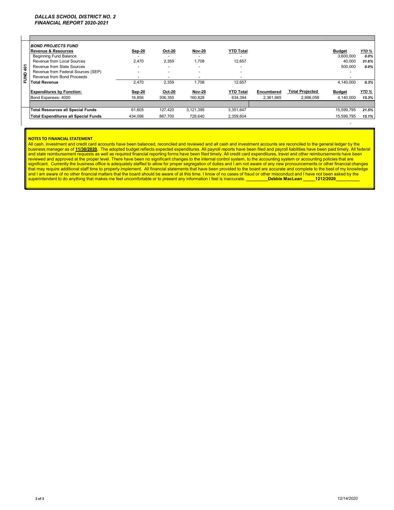| <b>BOND PROJECTS FUND</b><br>Revenue & Resources | Sep-20                        | <b>Oct-20</b> | <b>Nov-20</b> | <b>YTD Total</b> |            |                        | <b>Budget</b> | YTD %<br>$0.0\%$ |
|--------------------------------------------------|-------------------------------|---------------|---------------|------------------|------------|------------------------|---------------|------------------|
| Revenue from Local Sources                       | 2.470                         | 2,359         | 1.708         | 12.657           |            |                        | 40.000        | 31.6%            |
| Revenue from State Sources                       |                               |               |               |                  |            |                        | 500,000       | $0.0\%$          |
| Revenue from Federal Sources (SEP)               |                               |               |               |                  |            |                        |               |                  |
| Revenue from Bond Proceeds                       |                               |               | -             |                  |            |                        |               |                  |
| <b>Total Revenue</b>                             | 2.470                         | 2,359         | 1.708         | 12.657           |            |                        | 4.140.000     | 0.3%             |
| <b>Expenditures by Function:</b>                 | Sep-20                        | <b>Oct-20</b> | <b>Nov-20</b> | <b>YTD Total</b> | Encumbered | <b>Total Projected</b> | <b>Budget</b> | YTD %            |
| Bond Expenses- 4000                              | 16.856                        | 306.350       | 160.828       | 634.394          | 2.361.665  | 2.996.058              | 4.140.000     | 15.3%            |
|                                                  |                               |               |               |                  |            |                        |               |                  |
| <b>Total Resources all Special Funds</b>         | 61.605                        | 127.420       | 3.121.395     | 3.351.647        |            |                        | 15.599.795    | 21.5%            |
| <b>Total Expenditures all Special Funds</b>      | 434.096                       | 867,700       | 728,640       | 2,359,604        |            |                        | 15.599.795    | 15.1%            |
|                                                  | <b>Beginning Fund Balance</b> |               |               |                  |            |                        |               | 3.600.000        |

#### **NOTES TO FINANCIAL STATEMENT**

All cash, investment and credit card accounts have been balanced, reconciled and reviewed and all cash and investment accounts are reconciled to the general ledger by the business manager as of <u>11/30/2020</u>. The adopted budget reflects expected expenditures. All payroll reports have been filed and payroll liabilities have been paid timely. All rederal<br>and state reimbursement requests as wel superintendent to do anything that makes me feel uncomfortable or to present any information I feel is inaccurate. **\_\_\_\_\_\_\_\_\_Debbie MacLean \_\_\_\_\_1212/2020\_\_\_\_\_\_\_\_\_\_**

- 1990 - 1990 - 1991